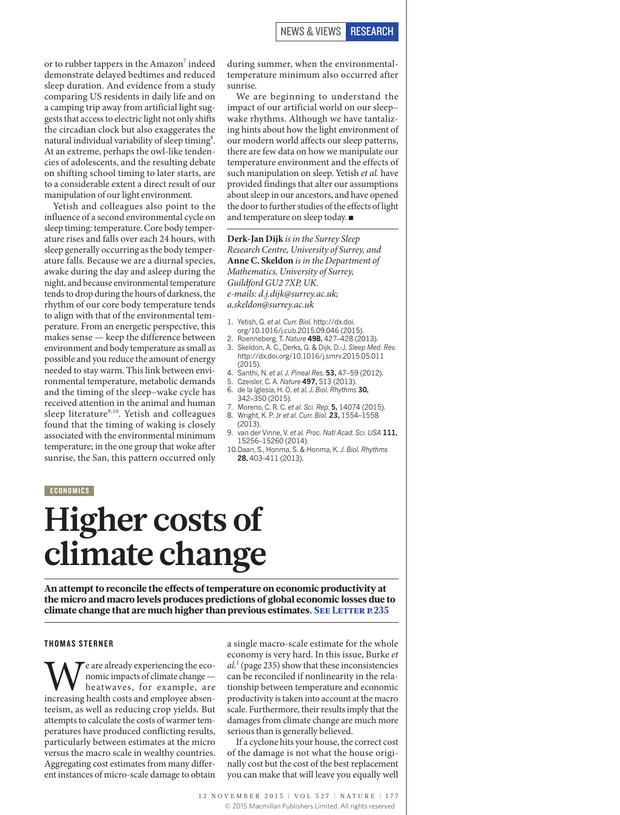## NEWS & VIEWS RESEARCH

or to rubber tappers in the Amazon<sup>7</sup> indeed demonstrate delayed bedtimes and reduced sleep duration. And evidence from a study comparing US residents in daily life and on a camping trip away from artificial light suggests that access to electric light not only shifts the circadian clock but also exaggerates the natural individual variability of sleep timing $^{8}$ . At an extreme, perhaps the owl-like tendencies of adolescents, and the resulting debate on shifting school timing to later starts, are to a considerable extent a direct result of our manipulation of our light environment.

Yetish and colleagues also point to the influence of a second environmental cycle on sleep timing: temperature. Core body temperature rises and falls over each 24 hours, with sleep generally occurring as the body temperature falls. Because we are a diurnal species, awake during the day and asleep during the night, and because environmental temperature tends to drop during the hours of darkness, the rhythm of our core body temperature tends to align with that of the environmental temperature. From an energetic perspective, this makes sense — keep the difference between environment and body temperature as small as possible and you reduce the amount of energy needed to stay warm. This link between environmental temperature, metabolic demands and the timing of the sleep–wake cycle has received attention in the animal and human sleep literature<sup>9,10</sup>. Yetish and colleagues found that the timing of waking is closely associated with the environmental minimum temperature; in the one group that woke after sunrise, the San, this pattern occurred only

during summer, when the environmentaltemperature minimum also occurred after sunrise.

We are beginning to understand the impact of our artificial world on our sleep– wake rhythms. Although we have tantalizing hints about how the light environment of our modern world affects our sleep patterns, there are few data on how we manipulate our temperature environment and the effects of such manipulation on sleep. Yetish *et al.* have provided findings that alter our assumptions about sleep in our ancestors, and have opened the door to further studies of the effects of light and temperature on sleep today. ■

**Derk-Jan Dijk** *is in the Surrey Sleep Research Centre, University of Surrey, and*  **Anne C. Skeldon** *is in the Department of Mathematics, University of Surrey, Guildford GU2 7XP, UK. e-mails: d.j.dijk@surrey.ac.uk; a.skeldon@surrey.ac.uk*

- 1. Yetish, G. *et al. Curr. Biol.* http://dx.doi. org/10.1016/j.cub.2015.09.046 (2015).
- 2. Roenneberg, T. *Nature* **498,** 427–428 (2013).
- 3. Skeldon, A. C., Derks, G. & Dijk, D.-J. *Sleep Med. Rev.*  http://dx.doi.org/10.1016/j.smrv.2015.05.011  $(2015)$ .
- 4. Santhi, N. *et al. J. Pineal Res.* **53,** 47–59 (2012).
- 5. Czeisler, C. A. *Nature* **497,** S13 (2013).
- 6. de la Iglesia, H. O. *et al. J. Biol. Rhythms* **30,**
- 342–350 (2015).
- 7. Moreno, C. R. C. *et al. Sci. Rep.* **5,** 14074 (2015). 8. Wright, K. P. Jr *et al. Curr. Biol.* **23,** 1554–1558
- (2013). 9. van der Vinne, V. *et al. Proc. Natl Acad. Sci. USA* **111,** 15256–15260 (2014).
- 10.Daan, S., Honma, S. & Honma, K. *J. Biol. Rhythms* **28,** 403–411 (2013).

## ECONOMICS

## **Higher costs of climate change**

An attempt to reconcile the effects of temperature on economic productivity at the micro and macro levels produces predictions of global economic losses due to climate change that are much higher than previous estimates. SEE LETTER P.235

## THOMAS STERNER

We are already experiencing the eco-<br>
nomic impacts of climate change —<br>
increasing health costs and employee absennomic impacts of climate change heatwaves, for example, are teeism, as well as reducing crop yields. But attempts to calculate the costs of warmer temperatures have produced conflicting results, particularly between estimates at the micro versus the macro scale in wealthy countries. Aggregating cost estimates from many different instances of micro-scale damage to obtain

a single macro-scale estimate for the whole economy is very hard. In this issue, Burke *et al.*<sup>1</sup> (page 235) show that these inconsistencies can be reconciled if nonlinearity in the relationship between temperature and economic productivity is taken into account at the macro scale. Furthermore, their results imply that the damages from climate change are much more serious than is generally believed.

If a cyclone hits your house, the correct cost of the damage is not what the house originally cost but the cost of the best replacement you can make that will leave you equally well